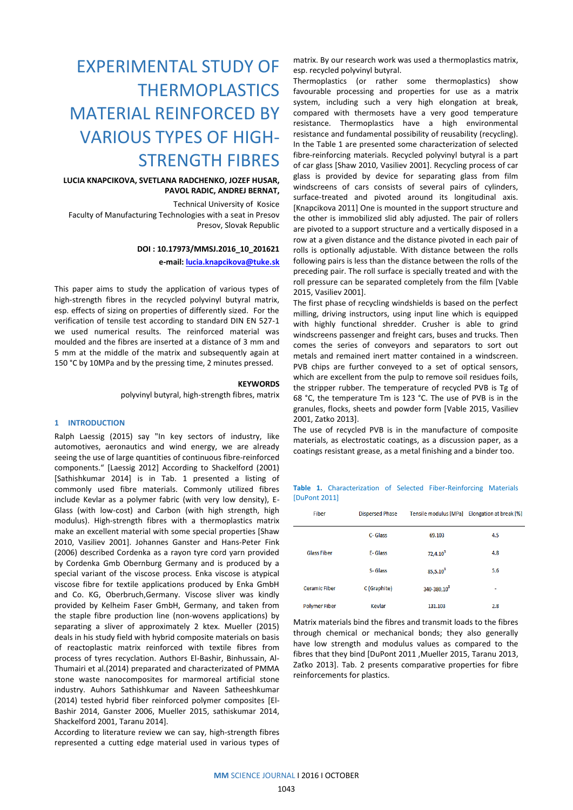# EXPERIMENTAL STUDY OF THERMOPLASTICS MATERIAL REINFORCED BY VARIOUS TYPES OF HIGH-STRENGTH FIBRES

# **LUCIA KNAPCIKOVA, SVETLANA RADCHENKO, JOZEF HUSAR, PAVOL RADIC, ANDREJ BERNAT,**

Technical University of Kosice Faculty of Manufacturing Technologies with a seat in Presov Presov, Slovak Republic

# **DOI : 10.17973/MMSJ.2016\_10\_201621**

**e-mail[: lucia.knapcikova@tuke.sk](mailto:lucia.knapcikova@tuke.sk)**

This paper aims to study the application of various types of high-strength fibres in the recycled polyvinyl butyral matrix, esp. effects of sizing on properties of differently sized. For the verification of tensile test according to standard DIN EN 527-1 we used numerical results. The reinforced material was moulded and the fibres are inserted at a distance of 3 mm and 5 mm at the middle of the matrix and subsequently again at 150 °C by 10MPa and by the pressing time, 2 minutes pressed.

#### **KEYWORDS**

polyvinyl butyral, high-strength fibres, matrix

### **1 INTRODUCTION**

Ralph Laessig (2015) say "In key sectors of industry, like automotives, aeronautics and wind energy, we are already seeing the use of large quantities of continuous fibre-reinforced components." [Laessig 2012] According to Shackelford (2001) [Sathishkumar 2014] is in Tab. 1 presented a listing of commonly used fibre materials. Commonly utilized fibres include Kevlar as a polymer fabric (with very low density), E-Glass (with low-cost) and Carbon (with high strength, high modulus). High-strength fibres with a thermoplastics matrix make an excellent material with some special properties [Shaw 2010, Vasiliev 2001]. Johannes Ganster and Hans-Peter Fink (2006) described Cordenka as a rayon tyre cord yarn provided by Cordenka Gmb Obernburg Germany and is produced by a special variant of the viscose process. Enka viscose is atypical viscose fibre for textile applications produced by Enka GmbH and Co. KG, Oberbruch,Germany. Viscose sliver was kindly provided by Kelheim Faser GmbH, Germany, and taken from the staple fibre production line (non-wovens applications) by separating a sliver of approximately 2 ktex. Mueller (2015) deals in his study field with hybrid composite materials on basis of reactoplastic matrix reinforced with textile fibres from process of tyres recyclation. Authors El-Bashir, Binhussain, Al-Thumairi et al.(2014) preparated and characterizated of PMMA stone waste nanocomposites for marmoreal artificial stone industry. Auhors Sathishkumar and Naveen Satheeshkumar (2014) tested hybrid fiber reinforced polymer composites [El-Bashir 2014, Ganster 2006, Mueller 2015, sathiskumar 2014, Shackelford 2001, Taranu 2014].

According to literature review we can say, high-strength fibres represented a cutting edge material used in various types of matrix. By our research work was used a thermoplastics matrix, esp. recycled polyvinyl butyral.

Thermoplastics (or rather some thermoplastics) show favourable processing and properties for use as a matrix system, including such a very high elongation at break, compared with thermosets have a very good temperature resistance. Thermoplastics have a high environmental resistance and fundamental possibility of reusability (recycling). In the Table 1 are presented some characterization of selected fibre-reinforcing materials. Recycled polyvinyl butyral is a part of car glass [Shaw 2010, Vasiliev 2001]. Recycling process of car glass is provided by device for separating glass from film windscreens of cars consists of several pairs of cylinders, surface-treated and pivoted around its longitudinal axis. [Knapcikova 2011] One is mounted in the support structure and the other is immobilized slid ably adjusted. The pair of rollers are pivoted to a support structure and a vertically disposed in a row at a given distance and the distance pivoted in each pair of rolls is optionally adjustable. With distance between the rolls following pairs is less than the distance between the rolls of the preceding pair. The roll surface is specially treated and with the roll pressure can be separated completely from the film [Vable 2015, Vasiliev 2001].

The first phase of recycling windshields is based on the perfect milling, driving instructors, using input line which is equipped with highly functional shredder. Crusher is able to grind windscreens passenger and freight cars, buses and trucks. Then comes the series of conveyors and separators to sort out metals and remained inert matter contained in a windscreen. PVB chips are further conveyed to a set of optical sensors, which are excellent from the pulp to remove soil residues foils, the stripper rubber. The temperature of recycled PVB is Tg of 68 °C, the temperature Tm is 123 °C. The use of PVB is in the granules, flocks, sheets and powder form [Vable 2015, Vasiliev 2001, Zatko 2013].

The use of recycled PVB is in the manufacture of composite materials, as electrostatic coatings, as a discussion paper, as a coatings resistant grease, as a metal finishing and a binder too.

**Table 1.** Characterization of Selected Fiber-Reinforcing Materials [DuPont 2011]

| <b>Fiber</b>         | <b>Dispersed Phase</b> | <b>Tensile modulus [MPa]</b> | Elongation at break [%] |  |
|----------------------|------------------------|------------------------------|-------------------------|--|
| <b>Glass Fiber</b>   | C-Glass                | 69.103                       | 4.5                     |  |
|                      | F-Glass                | $72,4.10^3$                  | 4.8                     |  |
|                      | S-Glass                | $85,5.10^3$                  | 5.6                     |  |
| <b>Ceramic Fiber</b> | C (Graphite)           | 340-380,10 <sup>3</sup>      | ۰                       |  |
| <b>Polymer Fiber</b> | <b>Kevlar</b>          | 131.103                      | 2.8                     |  |

Matrix materials bind the fibres and transmit loads to the fibres through chemical or mechanical bonds; they also generally have low strength and modulus values as compared to the fibres that they bind [DuPont 2011 ,Mueller 2015, Taranu 2013, Zaťko 2013]. Tab. 2 presents comparative properties for fibre reinforcements for plastics.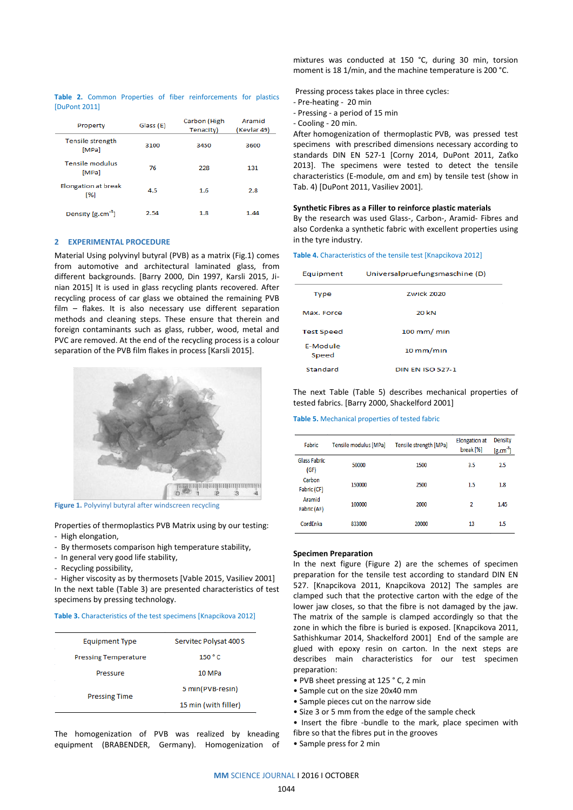|               |  |  | Table 2. Common Properties of fiber reinforcements for plastics |  |
|---------------|--|--|-----------------------------------------------------------------|--|
| [DuPont 2011] |  |  |                                                                 |  |

| Property                                 | Glass (E) | Carbon (High<br>Tenacity) | Aramid<br>(Kevlar 49) |
|------------------------------------------|-----------|---------------------------|-----------------------|
| Tensile strength<br>[MPa]                | 3100      | 3450                      | 3600                  |
| <b>Tensile modulus</b><br>[MPa]          | 76        | 228                       | 131                   |
| <b>Elongation at break</b><br><b>1%1</b> | 4.5       | 1.6                       | 2.8                   |
| Density [g.cm <sup>-3</sup> ]            | 2.54      | 1.8                       | 1.44                  |

#### **2 EXPERIMENTAL PROCEDURE**

Material Using polyvinyl butyral (PVB) as a matrix (Fig.1) comes from automotive and architectural laminated glass, from different backgrounds. [Barry 2000, Din 1997, Karsli 2015, Jinian 2015] It is used in glass recycling plants recovered. After recycling process of car glass we obtained the remaining PVB film – flakes. It is also necessary use different separation methods and cleaning steps. These ensure that therein and foreign contaminants such as glass, rubber, wood, metal and PVC are removed. At the end of the recycling process is a colour separation of the PVB film flakes in process [Karsli 2015].



**Figure 1.** Polyvinyl butyral after windscreen recycling

Properties of thermoplastics PVB Matrix using by our testing: - High elongation,

- By thermosets comparison high temperature stability,
- In general very good life stability,
- Recycling possibility,

- Higher viscosity as by thermosets [Vable 2015, Vasiliev 2001] In the next table (Table 3) are presented characteristics of test specimens by pressing technology.

#### **Table 3.** Characteristics of the test specimens [Knapcikova 2012]

| <b>Equipment Type</b>       | Servitec Polysat 400 S |  |
|-----------------------------|------------------------|--|
| <b>Pressing Temperature</b> | 150 °C                 |  |
| Pressure                    | 10 MPa                 |  |
|                             | 5 min(PVB-resin)       |  |
| <b>Pressing Time</b>        | 15 min (with filler)   |  |
|                             |                        |  |

The homogenization of PVB was realized by kneading equipment (BRABENDER, Germany). Homogenization of

mixtures was conducted at 150 °C, during 30 min, torsion moment is 18 1/min, and the machine temperature is 200 °C.

Pressing process takes place in three cycles:

- Pre-heating 20 min
- Pressing a period of 15 min
- Cooling 20 min.

After homogenization of thermoplastic PVB, was pressed test specimens with prescribed dimensions necessary according to standards DIN EN 527-1 [Corny 2014, DuPont 2011, Zaťko 2013]. The specimens were tested to detect the tensile characteristics (E-module, σm and εm) by tensile test (show in Tab. 4) [DuPont 2011, Vasiliev 2001].

#### **Synthetic Fibres as a Filler to reinforce plastic materials**

By the research was used Glass-, Carbon-, Aramid- Fibres and also Cordenka a synthetic fabric with excellent properties using in the tyre industry.

#### **Table 4.** Characteristics of the tensile test [Knapcikova 2012]

| Equipment                | Universalpruefungsmaschine (D) |
|--------------------------|--------------------------------|
| <b>Type</b>              | <b>Zwick 7020</b>              |
| Max. Force               | 20 kN                          |
| <b>Test Speed</b>        | $100$ mm/ min                  |
| <b>F-Module</b><br>Speed | $10$ mm/min                    |
| Standard                 | <b>DIN EN ISO 527-1</b>        |

## The next Table (Table 5) describes mechanical properties of tested fabrics. [Barry 2000, Shackelford 2001]

#### **Table 5.** Mechanical properties of tested fabric

| <b>Fabric</b>               | Tensile modulus [MPa] | Tensile strength [MPa] | <b>Elongation at</b><br>break [%] | Density<br>$[g.cm^{-3}]$ |
|-----------------------------|-----------------------|------------------------|-----------------------------------|--------------------------|
| <b>Glass Fabric</b><br>(GF) | 50000                 | 1500                   | 3.5                               | 2.5                      |
| Carbon<br>Fabric (CF)       | 150000                | 2500                   | 1.5                               | 1.8                      |
| Aramid<br>Fabric (AF)       | 100000                | 2000                   | 2                                 | 1.45                     |
| CordEnka                    | 833000                | 20000                  | 13                                | 1.5                      |

#### **Specimen Preparation**

In the next figure (Figure 2) are the schemes of specimen preparation for the tensile test according to standard DIN EN 527. [Knapcikova 2011, Knapcikova 2012] The samples are clamped such that the protective carton with the edge of the lower jaw closes, so that the fibre is not damaged by the jaw. The matrix of the sample is clamped accordingly so that the zone in which the fibre is buried is exposed. [Knapcikova 2011, Sathishkumar 2014, Shackelford 2001] End of the sample are glued with epoxy resin on carton. In the next steps are describes main characteristics for our test specimen preparation:

- PVB sheet pressing at 125 ° C, 2 min
- Sample cut on the size 20x40 mm
- Sample pieces cut on the narrow side
- Size 3 or 5 mm from the edge of the sample check

• Insert the fibre -bundle to the mark, place specimen with fibre so that the fibres put in the grooves

• Sample press for 2 min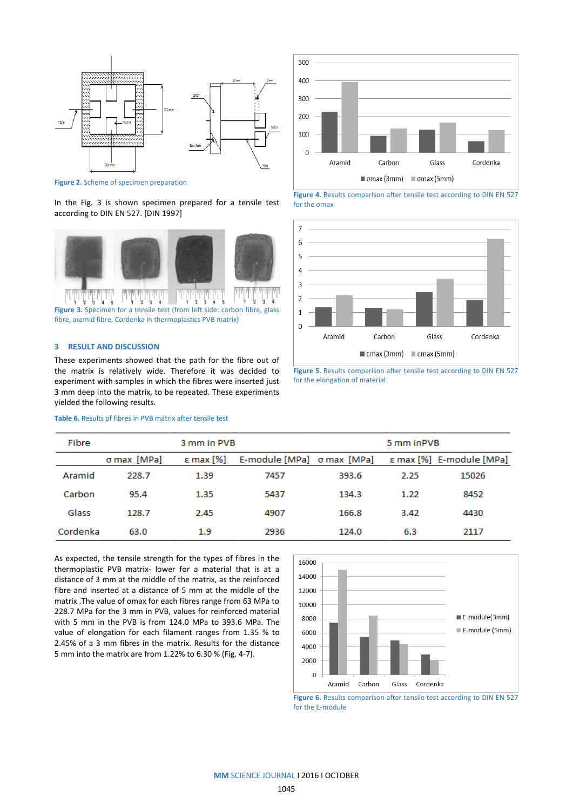

**Figure 2.** Scheme of specimen preparation

In the Fig. 3 is shown specimen prepared for a tensile test according to DIN EN 527. [DIN 1997]



fibre, aramid fibre, Cordenka in thermoplastics PVB matrix)

# **3 RESULT AND DISCUSSION**

These experiments showed that the path for the fibre out of the matrix is relatively wide. Therefore it was decided to experiment with samples in which the fibres were inserted just 3 mm deep into the matrix, to be repeated. These experiments yielded the following results.

# **Table 6.** Results of fibres in PVB matrix after tensile test



**Figure 4.** Results comparison after tensile test according to DIN EN 527 for the σmax



**Figure 5.** Results comparison after tensile test according to DIN EN 527 for the elongation of material

| Fibre    |             | 3 mm in PVB        |                            |       | 5 mm in PVB |                          |
|----------|-------------|--------------------|----------------------------|-------|-------------|--------------------------|
|          | σ max [MPa] | $\epsilon$ max [%] | E-module [MPa] o max [MPa] |       |             | ε max [%] E-module [MPa] |
| Aramid   | 228.7       | 1.39               | 7457                       | 393.6 | 2.25        | 15026                    |
| Carbon   | 95.4        | 1.35               | 5437                       | 134.3 | 1.22        | 8452                     |
| Glass    | 128.7       | 2.45               | 4907                       | 166.8 | 3.42        | 4430                     |
| Cordenka | 63.0        | 1.9                | 2936                       | 124.0 | 6.3         | 2117                     |

As expected, the tensile strength for the types of fibres in the thermoplastic PVB matrix- lower for a material that is at a distance of 3 mm at the middle of the matrix, as the reinforced fibre and inserted at a distance of 5 mm at the middle of the matrix .The value of σmax for each fibres range from 63 MPa to 228.7 MPa for the 3 mm in PVB, values for reinforced material with 5 mm in the PVB is from 124.0 MPa to 393.6 MPa. The value of elongation for each filament ranges from 1.35 % to 2.45% of a 3 mm fibres in the matrix. Results for the distance 5 mm into the matrix are from 1.22% to 6.30 % (Fig. 4-7).



**Figure 6.** Results comparison after tensile test according to DIN EN 527 for the E-module